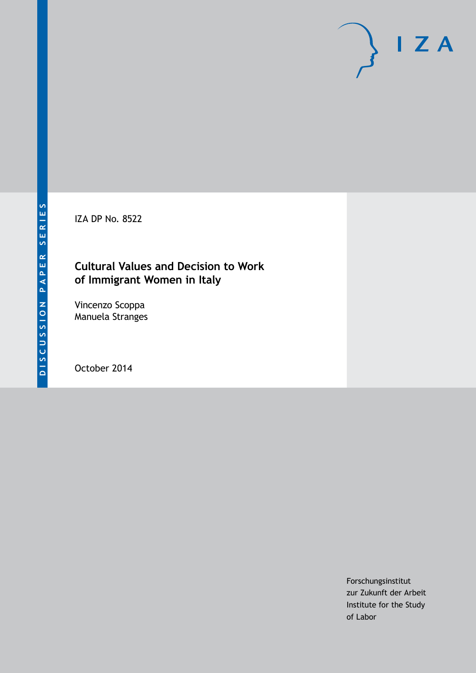IZA DP No. 8522

## **Cultural Values and Decision to Work of Immigrant Women in Italy**

Vincenzo Scoppa Manuela Stranges

October 2014

Forschungsinstitut zur Zukunft der Arbeit Institute for the Study of Labor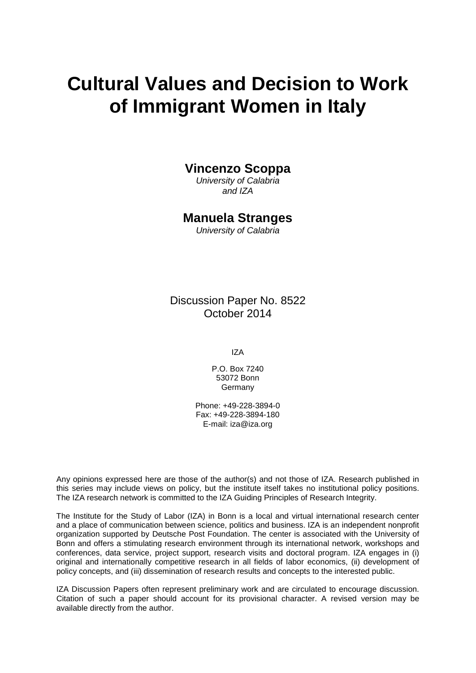# **Cultural Values and Decision to Work of Immigrant Women in Italy**

### **Vincenzo Scoppa**

*University of Calabria and IZA*

### **Manuela Stranges**

*University of Calabria*

Discussion Paper No. 8522 October 2014

IZA

P.O. Box 7240 53072 Bonn Germany

Phone: +49-228-3894-0 Fax: +49-228-3894-180 E-mail: [iza@iza.org](mailto:iza@iza.org)

Any opinions expressed here are those of the author(s) and not those of IZA. Research published in this series may include views on policy, but the institute itself takes no institutional policy positions. The IZA research network is committed to the IZA Guiding Principles of Research Integrity.

The Institute for the Study of Labor (IZA) in Bonn is a local and virtual international research center and a place of communication between science, politics and business. IZA is an independent nonprofit organization supported by Deutsche Post Foundation. The center is associated with the University of Bonn and offers a stimulating research environment through its international network, workshops and conferences, data service, project support, research visits and doctoral program. IZA engages in (i) original and internationally competitive research in all fields of labor economics, (ii) development of policy concepts, and (iii) dissemination of research results and concepts to the interested public.

<span id="page-1-0"></span>IZA Discussion Papers often represent preliminary work and are circulated to encourage discussion. Citation of such a paper should account for its provisional character. A revised version may be available directly from the author.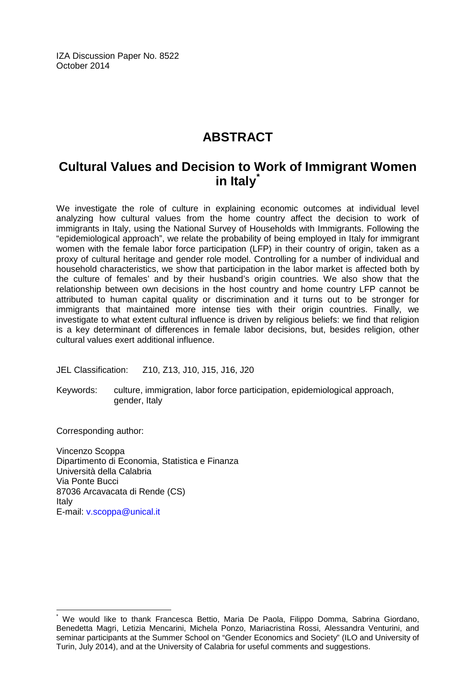IZA Discussion Paper No. 8522 October 2014

# **ABSTRACT**

# **Cultural Values and Decision to Work of Immigrant Women in Italy[\\*](#page-1-0)**

We investigate the role of culture in explaining economic outcomes at individual level analyzing how cultural values from the home country affect the decision to work of immigrants in Italy, using the National Survey of Households with Immigrants. Following the "epidemiological approach", we relate the probability of being employed in Italy for immigrant women with the female labor force participation (LFP) in their country of origin, taken as a proxy of cultural heritage and gender role model. Controlling for a number of individual and household characteristics, we show that participation in the labor market is affected both by the culture of females' and by their husband's origin countries. We also show that the relationship between own decisions in the host country and home country LFP cannot be attributed to human capital quality or discrimination and it turns out to be stronger for immigrants that maintained more intense ties with their origin countries. Finally, we investigate to what extent cultural influence is driven by religious beliefs: we find that religion is a key determinant of differences in female labor decisions, but, besides religion, other cultural values exert additional influence.

JEL Classification: Z10, Z13, J10, J15, J16, J20

Keywords: culture, immigration, labor force participation, epidemiological approach, gender, Italy

Corresponding author:

Vincenzo Scoppa Dipartimento di Economia, Statistica e Finanza Università della Calabria Via Ponte Bucci 87036 Arcavacata di Rende (CS) Italy E-mail: [v.scoppa@unical.it](mailto:v.scoppa@unical.it)

We would like to thank Francesca Bettio, Maria De Paola, Filippo Domma, Sabrina Giordano, Benedetta Magri, Letizia Mencarini, Michela Ponzo, Mariacristina Rossi, Alessandra Venturini, and seminar participants at the Summer School on "Gender Economics and Society" (ILO and University of Turin, July 2014), and at the University of Calabria for useful comments and suggestions.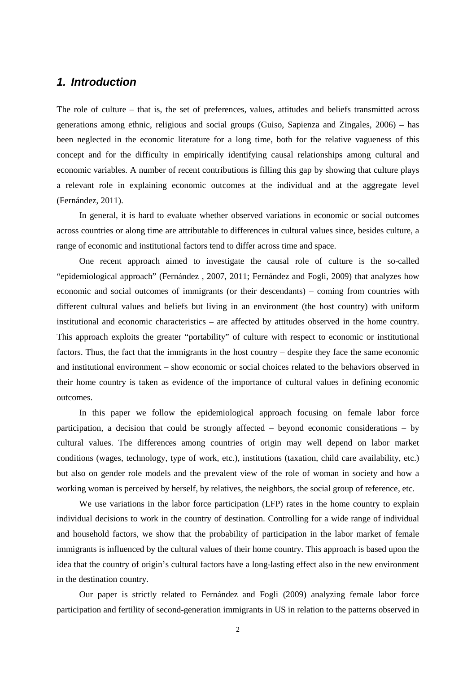### *1. Introduction*

The role of culture – that is, the set of preferences, values, attitudes and beliefs transmitted across generations among ethnic, religious and social groups (Guiso, Sapienza and Zingales, 2006) – has been neglected in the economic literature for a long time, both for the relative vagueness of this concept and for the difficulty in empirically identifying causal relationships among cultural and economic variables. A number of recent contributions is filling this gap by showing that culture plays a relevant role in explaining economic outcomes at the individual and at the aggregate level (Fernández, 2011).

In general, it is hard to evaluate whether observed variations in economic or social outcomes across countries or along time are attributable to differences in cultural values since, besides culture, a range of economic and institutional factors tend to differ across time and space.

One recent approach aimed to investigate the causal role of culture is the so-called "epidemiological approach" (Fernández , 2007, 2011; Fernández and Fogli, 2009) that analyzes how economic and social outcomes of immigrants (or their descendants) – coming from countries with different cultural values and beliefs but living in an environment (the host country) with uniform institutional and economic characteristics – are affected by attitudes observed in the home country. This approach exploits the greater "portability" of culture with respect to economic or institutional factors. Thus, the fact that the immigrants in the host country – despite they face the same economic and institutional environment – show economic or social choices related to the behaviors observed in their home country is taken as evidence of the importance of cultural values in defining economic outcomes.

In this paper we follow the epidemiological approach focusing on female labor force participation, a decision that could be strongly affected – beyond economic considerations – by cultural values. The differences among countries of origin may well depend on labor market conditions (wages, technology, type of work, etc.), institutions (taxation, child care availability, etc.) but also on gender role models and the prevalent view of the role of woman in society and how a working woman is perceived by herself, by relatives, the neighbors, the social group of reference, etc.

We use variations in the labor force participation (LFP) rates in the home country to explain individual decisions to work in the country of destination. Controlling for a wide range of individual and household factors, we show that the probability of participation in the labor market of female immigrants is influenced by the cultural values of their home country. This approach is based upon the idea that the country of origin's cultural factors have a long-lasting effect also in the new environment in the destination country.

Our paper is strictly related to Fernández and Fogli (2009) analyzing female labor force participation and fertility of second-generation immigrants in US in relation to the patterns observed in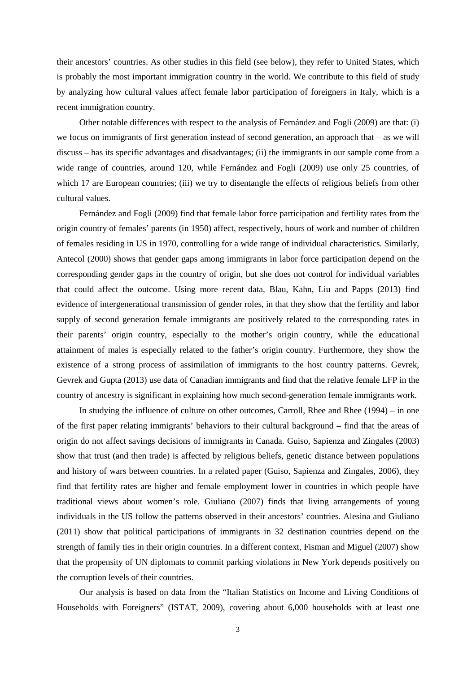their ancestors' countries. As other studies in this field (see below), they refer to United States, which is probably the most important immigration country in the world. We contribute to this field of study by analyzing how cultural values affect female labor participation of foreigners in Italy, which is a recent immigration country.

Other notable differences with respect to the analysis of Fernández and Fogli (2009) are that: (i) we focus on immigrants of first generation instead of second generation, an approach that – as we will discuss – has its specific advantages and disadvantages; (ii) the immigrants in our sample come from a wide range of countries, around 120, while Fernández and Fogli (2009) use only 25 countries, of which 17 are European countries; (iii) we try to disentangle the effects of religious beliefs from other cultural values.

Fernández and Fogli (2009) find that female labor force participation and fertility rates from the origin country of females' parents (in 1950) affect, respectively, hours of work and number of children of females residing in US in 1970, controlling for a wide range of individual characteristics. Similarly, Antecol (2000) shows that gender gaps among immigrants in labor force participation depend on the corresponding gender gaps in the country of origin, but she does not control for individual variables that could affect the outcome. Using more recent data, Blau, Kahn, Liu and Papps (2013) find evidence of intergenerational transmission of gender roles, in that they show that the fertility and labor supply of second generation female immigrants are positively related to the corresponding rates in their parents' origin country, especially to the mother's origin country, while the educational attainment of males is especially related to the father's origin country. Furthermore, they show the existence of a strong process of assimilation of immigrants to the host country patterns. Gevrek, Gevrek and Gupta (2013) use data of Canadian immigrants and find that the relative female LFP in the country of ancestry is significant in explaining how much second-generation female immigrants work.

In studying the influence of culture on other outcomes, Carroll, Rhee and Rhee (1994) – in one of the first paper relating immigrants' behaviors to their cultural background – find that the areas of origin do not affect savings decisions of immigrants in Canada. Guiso, Sapienza and Zingales (2003) show that trust (and then trade) is affected by religious beliefs, genetic distance between populations and history of wars between countries. In a related paper (Guiso, Sapienza and Zingales, 2006), they find that fertility rates are higher and female employment lower in countries in which people have traditional views about women's role. Giuliano (2007) finds that living arrangements of young individuals in the US follow the patterns observed in their ancestors' countries. Alesina and Giuliano (2011) show that political participations of immigrants in 32 destination countries depend on the strength of family ties in their origin countries. In a different context, Fisman and Miguel (2007) show that the propensity of UN diplomats to commit parking violations in New York depends positively on the corruption levels of their countries.

Our analysis is based on data from the "Italian Statistics on Income and Living Conditions of Households with Foreigners" (ISTAT, 2009), covering about 6,000 households with at least one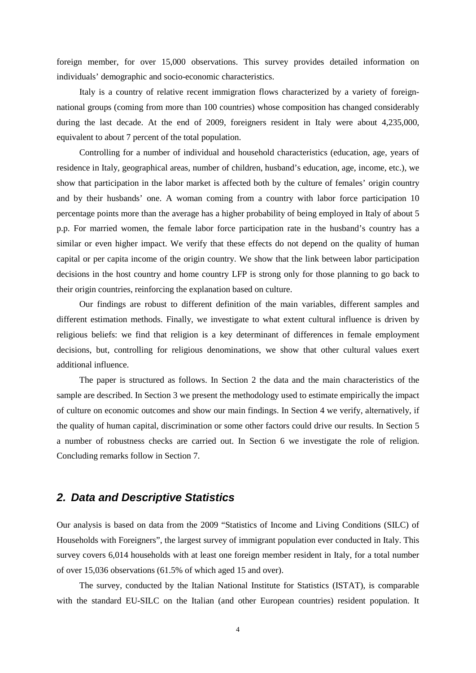foreign member, for over 15,000 observations. This survey provides detailed information on individuals' demographic and socio-economic characteristics.

Italy is a country of relative recent immigration flows characterized by a variety of foreignnational groups (coming from more than 100 countries) whose composition has changed considerably during the last decade. At the end of 2009, foreigners resident in Italy were about 4,235,000, equivalent to about 7 percent of the total population.

Controlling for a number of individual and household characteristics (education, age, years of residence in Italy, geographical areas, number of children, husband's education, age, income, etc.), we show that participation in the labor market is affected both by the culture of females' origin country and by their husbands' one. A woman coming from a country with labor force participation 10 percentage points more than the average has a higher probability of being employed in Italy of about 5 p.p. For married women, the female labor force participation rate in the husband's country has a similar or even higher impact. We verify that these effects do not depend on the quality of human capital or per capita income of the origin country. We show that the link between labor participation decisions in the host country and home country LFP is strong only for those planning to go back to their origin countries, reinforcing the explanation based on culture.

Our findings are robust to different definition of the main variables, different samples and different estimation methods. Finally, we investigate to what extent cultural influence is driven by religious beliefs: we find that religion is a key determinant of differences in female employment decisions, but, controlling for religious denominations, we show that other cultural values exert additional influence.

The paper is structured as follows. In Section 2 the data and the main characteristics of the sample are described. In Section 3 we present the methodology used to estimate empirically the impact of culture on economic outcomes and show our main findings. In Section 4 we verify, alternatively, if the quality of human capital, discrimination or some other factors could drive our results. In Section 5 a number of robustness checks are carried out. In Section 6 we investigate the role of religion. Concluding remarks follow in Section 7.

### *2. Data and Descriptive Statistics*

Our analysis is based on data from the 2009 "Statistics of Income and Living Conditions (SILC) of Households with Foreigners", the largest survey of immigrant population ever conducted in Italy. This survey covers 6,014 households with at least one foreign member resident in Italy, for a total number of over 15,036 observations (61.5% of which aged 15 and over).

The survey, conducted by the Italian National Institute for Statistics (ISTAT), is comparable with the standard EU-SILC on the Italian (and other European countries) resident population. It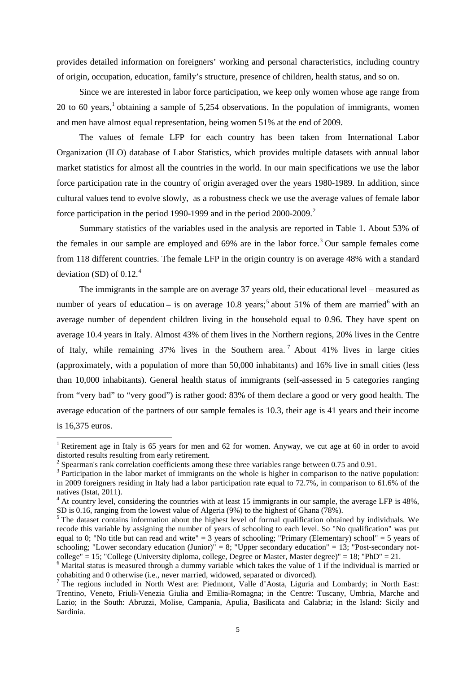provides detailed information on foreigners' working and personal characteristics, including country of origin, occupation, education, family's structure, presence of children, health status, and so on.

Since we are interested in labor force participation, we keep only women whose age range from 20 to 60 years, <sup>1</sup> obtaining a sample of 5,254 observations. In the population of immigrants, women and men have almost equal representation, being women 51% at the end of 2009.

The values of female LFP for each country has been taken from International Labor Organization (ILO) database of Labor Statistics, which provides multiple datasets with annual labor market statistics for almost all the countries in the world. In our main specifications we use the labor force participation rate in the country of origin averaged over the years 1980-1989. In addition, since cultural values tend to evolve slowly, as a robustness check we use the average values of female labor force participation in the period 1990-1999 and in the period [2](#page-6-0)000-2009.<sup>2</sup>

Summary statistics of the variables used in the analysis are reported in Table 1. About 53% of the females in our sample are employed and 69% are in the labor force.<sup>[3](#page-6-1)</sup> Our sample females come from 118 different countries. The female LFP in the origin country is on average 48% with a standard deviation (SD) of  $0.12<sup>4</sup>$  $0.12<sup>4</sup>$  $0.12<sup>4</sup>$ 

The immigrants in the sample are on average 37 years old, their educational level – measured as number of years of education – is on average 10.8 years;<sup>[5](#page-6-3)</sup> about 51% of them are married<sup>[6](#page-6-4)</sup> with an average number of dependent children living in the household equal to 0.96. They have spent on average 10.4 years in Italy. Almost 43% of them lives in the Northern regions, 20% lives in the Centre of Italy, while remaining 37% lives in the Southern area. [7](#page-6-5) About 41% lives in large cities (approximately, with a population of more than 50,000 inhabitants) and 16% live in small cities (less than 10,000 inhabitants). General health status of immigrants (self-assessed in 5 categories ranging from "very bad" to "very good") is rather good: 83% of them declare a good or very good health. The average education of the partners of our sample females is 10.3, their age is 41 years and their income is 16,375 euros.

<sup>&</sup>lt;sup>1</sup> Retirement age in Italy is 65 years for men and 62 for women. Anyway, we cut age at 60 in order to avoid distorted results resulting from early retirement.<br><sup>2</sup> Spearman's rank correlation coefficients among these three variables range between 0.75 and 0.91.

<span id="page-6-1"></span><span id="page-6-0"></span> $3$  Participation in the labor market of immigrants on the whole is higher in comparison to the native population: in 2009 foreigners residing in Italy had a labor participation rate equal to 72.7%, in comparison to 61.6% of the natives (Istat, 2011).<br><sup>4</sup> At country level, considering the countries with at least 15 immigrants in our sample, the average LFP is 48%,

<span id="page-6-2"></span>SD is 0.16, ranging from the lowest value of Algeria (9%) to the highest of Ghana (78%).

<span id="page-6-3"></span><sup>&</sup>lt;sup>5</sup> The dataset contains information about the highest level of formal qualification obtained by individuals. We recode this variable by assigning the number of years of schooling to each level. So "No qualification" was put equal to 0; "No title but can read and write" = 3 years of schooling; "Primary (Elementary) school" = 5 years of schooling; "Lower secondary education (Junior)" = 8; "Upper secondary education" = 13; "Post-secondary notcollege" = 15; "College (University diploma, college, Degree or Master, Master degree)" = 18; "PhD" = 21.

<span id="page-6-4"></span><sup>&</sup>lt;sup>6</sup> Marital status is measured through a dummy variable which takes the value of 1 if the individual is married or cohabiting and 0 otherwise (i.e., never married, widowed, separated or divorced).

<span id="page-6-6"></span><span id="page-6-5"></span><sup>7</sup> The regions included in North West are: Piedmont, Valle d'Aosta, Liguria and Lombardy; in North East: Trentino, Veneto, Friuli-Venezia Giulia and Emilia-Romagna; in the Centre: Tuscany, Umbria, Marche and Lazio; in the South: Abruzzi, Molise, Campania, Apulia, Basilicata and Calabria; in the Island: Sicily and Sardinia.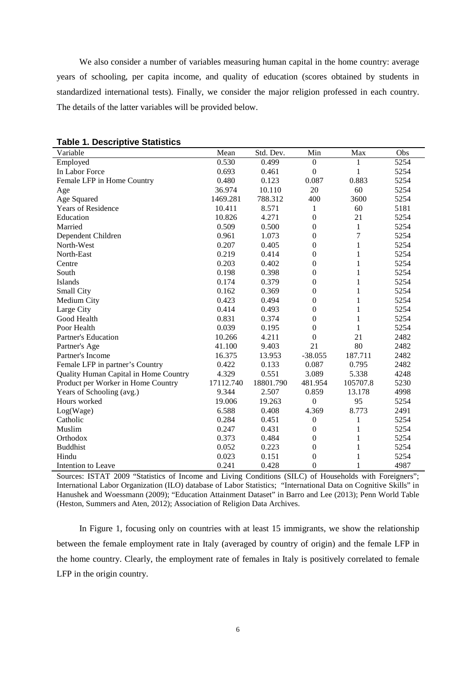We also consider a number of variables measuring human capital in the home country: average years of schooling, per capita income, and quality of education (scores obtained by students in standardized international tests). Finally, we consider the major religion professed in each country. The details of the latter variables will be provided below.

| Variable                              | Mean      | Std. Dev. | Min              | Max            | Obs  |
|---------------------------------------|-----------|-----------|------------------|----------------|------|
| Employed                              | 0.530     | 0.499     | $\boldsymbol{0}$ |                | 5254 |
| In Labor Force                        | 0.693     | 0.461     | $\mathbf{0}$     | 1              | 5254 |
| Female LFP in Home Country            | 0.480     | 0.123     | 0.087            | 0.883          | 5254 |
| Age                                   | 36.974    | 10.110    | 20               | 60             | 5254 |
| Age Squared                           | 1469.281  | 788.312   | 400              | 3600           | 5254 |
| Years of Residence                    | 10.411    | 8.571     | 1                | 60             | 5181 |
| Education                             | 10.826    | 4.271     | $\mathbf{0}$     | 21             | 5254 |
| Married                               | 0.509     | 0.500     | $\mathbf{0}$     | $\mathbf{1}$   | 5254 |
| Dependent Children                    | 0.961     | 1.073     | $\boldsymbol{0}$ | $\overline{7}$ | 5254 |
| North-West                            | 0.207     | 0.405     | $\boldsymbol{0}$ | $\mathbf{1}$   | 5254 |
| North-East                            | 0.219     | 0.414     | $\boldsymbol{0}$ | $\mathbf{1}$   | 5254 |
| Centre                                | 0.203     | 0.402     | $\boldsymbol{0}$ | $\mathbf{1}$   | 5254 |
| South                                 | 0.198     | 0.398     | $\theta$         | $\mathbf{1}$   | 5254 |
| Islands                               | 0.174     | 0.379     | $\mathbf{0}$     | 1              | 5254 |
| Small City                            | 0.162     | 0.369     | $\mathbf{0}$     | 1              | 5254 |
| Medium City                           | 0.423     | 0.494     | $\boldsymbol{0}$ | 1              | 5254 |
| Large City                            | 0.414     | 0.493     | $\boldsymbol{0}$ | 1              | 5254 |
| Good Health                           | 0.831     | 0.374     | $\boldsymbol{0}$ | 1              | 5254 |
| Poor Health                           | 0.039     | 0.195     | $\boldsymbol{0}$ | $\mathbf{1}$   | 5254 |
| Partner's Education                   | 10.266    | 4.211     | $\boldsymbol{0}$ | 21             | 2482 |
| Partner's Age                         | 41.100    | 9.403     | 21               | 80             | 2482 |
| Partner's Income                      | 16.375    | 13.953    | $-38.055$        | 187.711        | 2482 |
| Female LFP in partner's Country       | 0.422     | 0.133     | 0.087            | 0.795          | 2482 |
| Quality Human Capital in Home Country | 4.329     | 0.551     | 3.089            | 5.338          | 4248 |
| Product per Worker in Home Country    | 17112.740 | 18801.790 | 481.954          | 105707.8       | 5230 |
| Years of Schooling (avg.)             | 9.344     | 2.507     | 0.859            | 13.178         | 4998 |
| Hours worked                          | 19.006    | 19.263    | $\boldsymbol{0}$ | 95             | 5254 |
| Log(Wage)                             | 6.588     | 0.408     | 4.369            | 8.773          | 2491 |
| Catholic                              | 0.284     | 0.451     | $\boldsymbol{0}$ | 1              | 5254 |
| Muslim                                | 0.247     | 0.431     | $\mathbf{0}$     | 1              | 5254 |
| Orthodox                              | 0.373     | 0.484     | $\mathbf{0}$     | 1              | 5254 |
| <b>Buddhist</b>                       | 0.052     | 0.223     | $\boldsymbol{0}$ | 1              | 5254 |
| Hindu                                 | 0.023     | 0.151     | $\boldsymbol{0}$ | 1              | 5254 |
| Intention to Leave                    | 0.241     | 0.428     | $\mathbf{0}$     | 1              | 4987 |

**Table 1. Descriptive Statistics**

Sources: ISTAT 2009 "Statistics of Income and Living Conditions (SILC) of Households with Foreigners"; International Labor Organization (ILO) database of Labor Statistics; "International Data on Cognitive Skills" in Hanushek and Woessmann (2009); "Education Attainment Dataset" in Barro and Lee (2013); Penn World Table (Heston, Summers and Aten, 2012); Association of Religion Data Archives.

In Figure 1, focusing only on countries with at least 15 immigrants, we show the relationship between the female employment rate in Italy (averaged by country of origin) and the female LFP in the home country. Clearly, the employment rate of females in Italy is positively correlated to female LFP in the origin country.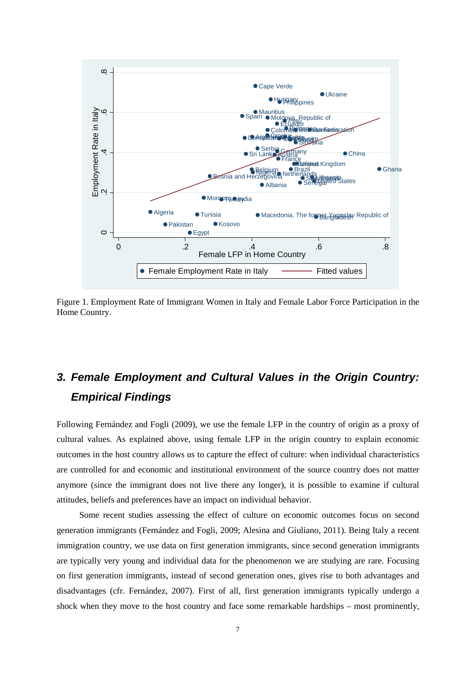

Figure 1. Employment Rate of Immigrant Women in Italy and Female Labor Force Participation in the Home Country.

# *3. Female Employment and Cultural Values in the Origin Country: Empirical Findings*

Following Fernández and Fogli (2009), we use the female LFP in the country of origin as a proxy of cultural values. As explained above, using female LFP in the origin country to explain economic outcomes in the host country allows us to capture the effect of culture: when individual characteristics are controlled for and economic and institutional environment of the source country does not matter anymore (since the immigrant does not live there any longer), it is possible to examine if cultural attitudes, beliefs and preferences have an impact on individual behavior.

Some recent studies assessing the effect of culture on economic outcomes focus on second generation immigrants (Fernández and Fogli, 2009; Alesina and Giuliano, 2011). Being Italy a recent immigration country, we use data on first generation immigrants, since second generation immigrants are typically very young and individual data for the phenomenon we are studying are rare. Focusing on first generation immigrants, instead of second generation ones, gives rise to both advantages and disadvantages (cfr. Fernández, 2007). First of all, first generation immigrants typically undergo a shock when they move to the host country and face some remarkable hardships – most prominently,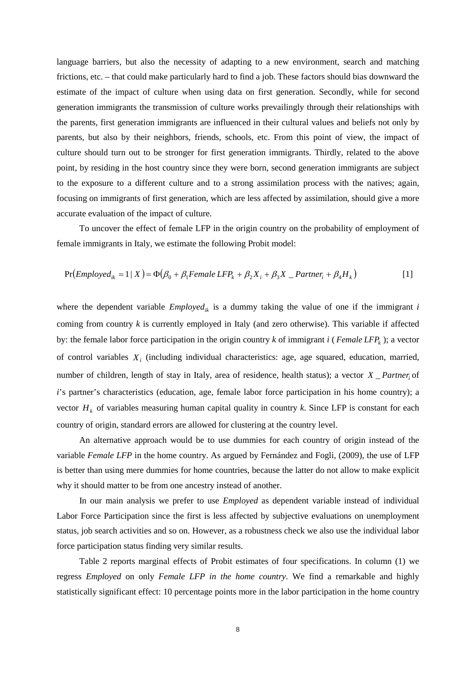language barriers, but also the necessity of adapting to a new environment, search and matching frictions, etc. – that could make particularly hard to find a job. These factors should bias downward the estimate of the impact of culture when using data on first generation. Secondly, while for second generation immigrants the transmission of culture works prevailingly through their relationships with the parents, first generation immigrants are influenced in their cultural values and beliefs not only by parents, but also by their neighbors, friends, schools, etc. From this point of view, the impact of culture should turn out to be stronger for first generation immigrants. Thirdly, related to the above point, by residing in the host country since they were born, second generation immigrants are subject to the exposure to a different culture and to a strong assimilation process with the natives; again, focusing on immigrants of first generation, which are less affected by assimilation, should give a more accurate evaluation of the impact of culture.

To uncover the effect of female LFP in the origin country on the probability of employment of female immigrants in Italy, we estimate the following Probit model:

$$
Pr(Employee_{ik} = 1 | X) = \Phi(\beta_0 + \beta_1 Female LFP_k + \beta_2 X_i + \beta_3 X \_ Partner_i + \beta_4 H_k)
$$
\n<sup>(1)</sup>

where the dependent variable  $Emploved_{ik}$  is a dummy taking the value of one if the immigrant  $i$ coming from country *k* is currently employed in Italy (and zero otherwise). This variable if affected by: the female labor force participation in the origin country  $k$  of immigrant  $i$  (*Female LFP<sub>k</sub>*); a vector of control variables *Xi* (including individual characteristics: age, age squared, education, married, number of children, length of stay in Italy, area of residence, health status); a vector *X* Partner of *i*'s partner's characteristics (education, age, female labor force participation in his home country); a vector  $H_k$  of variables measuring human capital quality in country  $k$ . Since LFP is constant for each country of origin, standard errors are allowed for clustering at the country level.

An alternative approach would be to use dummies for each country of origin instead of the variable *Female LFP* in the home country. As argued by Fernández and Fogli, (2009), the use of LFP is better than using mere dummies for home countries, because the latter do not allow to make explicit why it should matter to be from one ancestry instead of another.

In our main analysis we prefer to use *Employed* as dependent variable instead of individual Labor Force Participation since the first is less affected by subjective evaluations on unemployment status, job search activities and so on. However, as a robustness check we also use the individual labor force participation status finding very similar results.

Table 2 reports marginal effects of Probit estimates of four specifications. In column (1) we regress *Employed* on only *Female LFP in the home country*. We find a remarkable and highly statistically significant effect: 10 percentage points more in the labor participation in the home country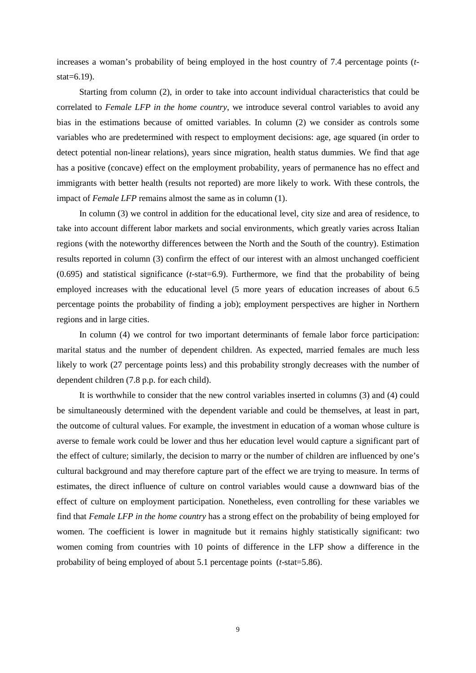increases a woman's probability of being employed in the host country of 7.4 percentage points (*t* $stat=6.19$ ).

Starting from column (2), in order to take into account individual characteristics that could be correlated to *Female LFP in the home country*, we introduce several control variables to avoid any bias in the estimations because of omitted variables. In column (2) we consider as controls some variables who are predetermined with respect to employment decisions: age, age squared (in order to detect potential non-linear relations), years since migration, health status dummies. We find that age has a positive (concave) effect on the employment probability, years of permanence has no effect and immigrants with better health (results not reported) are more likely to work. With these controls, the impact of *Female LFP* remains almost the same as in column (1).

In column (3) we control in addition for the educational level, city size and area of residence, to take into account different labor markets and social environments, which greatly varies across Italian regions (with the noteworthy differences between the North and the South of the country). Estimation results reported in column (3) confirm the effect of our interest with an almost unchanged coefficient (0.695) and statistical significance (*t*-stat=6.9). Furthermore, we find that the probability of being employed increases with the educational level (5 more years of education increases of about 6.5 percentage points the probability of finding a job); employment perspectives are higher in Northern regions and in large cities.

In column (4) we control for two important determinants of female labor force participation: marital status and the number of dependent children. As expected, married females are much less likely to work (27 percentage points less) and this probability strongly decreases with the number of dependent children (7.8 p.p. for each child).

It is worthwhile to consider that the new control variables inserted in columns (3) and (4) could be simultaneously determined with the dependent variable and could be themselves, at least in part, the outcome of cultural values. For example, the investment in education of a woman whose culture is averse to female work could be lower and thus her education level would capture a significant part of the effect of culture; similarly, the decision to marry or the number of children are influenced by one's cultural background and may therefore capture part of the effect we are trying to measure. In terms of estimates, the direct influence of culture on control variables would cause a downward bias of the effect of culture on employment participation. Nonetheless, even controlling for these variables we find that *Female LFP in the home country* has a strong effect on the probability of being employed for women. The coefficient is lower in magnitude but it remains highly statistically significant: two women coming from countries with 10 points of difference in the LFP show a difference in the probability of being employed of about 5.1 percentage points (*t*-stat=5.86).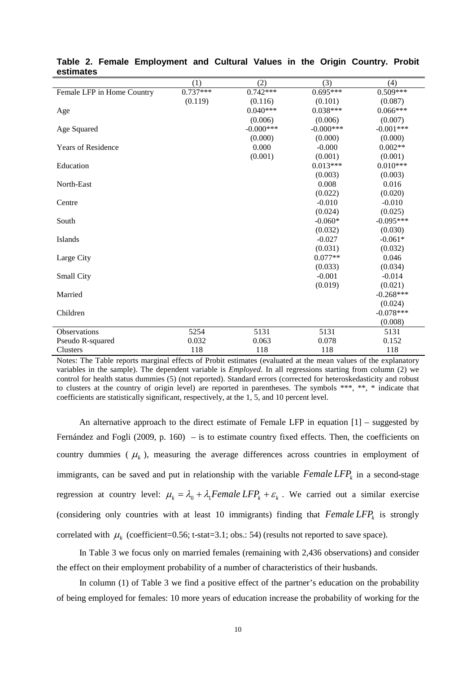|                            | (1)        | (2)          | (3)          | (4)         |
|----------------------------|------------|--------------|--------------|-------------|
| Female LFP in Home Country | $0.737***$ | $0.742***$   | $0.695***$   | $0.509***$  |
|                            | (0.119)    | (0.116)      | (0.101)      | (0.087)     |
| Age                        |            | $0.040***$   | $0.038***$   | $0.066***$  |
|                            |            | (0.006)      | (0.006)      | (0.007)     |
| Age Squared                |            | $-0.000$ *** | $-0.000$ *** | $-0.001***$ |
|                            |            | (0.000)      | (0.000)      | (0.000)     |
| <b>Years of Residence</b>  |            | 0.000        | $-0.000$     | $0.002**$   |
|                            |            | (0.001)      | (0.001)      | (0.001)     |
| Education                  |            |              | $0.013***$   | $0.010***$  |
|                            |            |              | (0.003)      | (0.003)     |
| North-East                 |            |              | 0.008        | 0.016       |
|                            |            |              | (0.022)      | (0.020)     |
| Centre                     |            |              | $-0.010$     | $-0.010$    |
|                            |            |              | (0.024)      | (0.025)     |
| South                      |            |              | $-0.060*$    | $-0.095***$ |
|                            |            |              | (0.032)      | (0.030)     |
| Islands                    |            |              | $-0.027$     | $-0.061*$   |
|                            |            |              | (0.031)      | (0.032)     |
| Large City                 |            |              | $0.077**$    | 0.046       |
|                            |            |              | (0.033)      | (0.034)     |
| Small City                 |            |              | $-0.001$     | $-0.014$    |
|                            |            |              | (0.019)      | (0.021)     |
| Married                    |            |              |              | $-0.268***$ |
|                            |            |              |              | (0.024)     |
| Children                   |            |              |              | $-0.078***$ |
|                            |            |              |              | (0.008)     |
| Observations               | 5254       | 5131         | 5131         | 5131        |
| Pseudo R-squared           | 0.032      | 0.063        | 0.078        | 0.152       |
| <b>Clusters</b>            | 118        | 118          | 118          | 118         |

**Table 2. Female Employment and Cultural Values in the Origin Country. Probit estimates**

Notes: The Table reports marginal effects of Probit estimates (evaluated at the mean values of the explanatory variables in the sample). The dependent variable is *Employed*. In all regressions starting from column (2) we control for health status dummies (5) (not reported). Standard errors (corrected for heteroskedasticity and robust to clusters at the country of origin level) are reported in parentheses. The symbols \*\*\*, \*\*, \* indicate that coefficients are statistically significant, respectively, at the 1, 5, and 10 percent level.

An alternative approach to the direct estimate of Female LFP in equation  $[1]$  – suggested by Fernández and Fogli (2009, p. 160) – is to estimate country fixed effects. Then, the coefficients on country dummies ( $\mu_k$ ), measuring the average differences across countries in employment of immigrants, can be saved and put in relationship with the variable  $Female LFP<sub>k</sub>$  in a second-stage regression at country level:  $\mu_k = \lambda_0 + \lambda_1$  Female LFP<sub>k</sub> +  $\varepsilon_k$ . We carried out a similar exercise (considering only countries with at least 10 immigrants) finding that  $Female LFP<sub>k</sub>$  is strongly correlated with  $\mu_k$  (coefficient=0.56; t-stat=3.1; obs.: 54) (results not reported to save space).

In Table 3 we focus only on married females (remaining with 2,436 observations) and consider the effect on their employment probability of a number of characteristics of their husbands.

In column (1) of Table 3 we find a positive effect of the partner's education on the probability of being employed for females: 10 more years of education increase the probability of working for the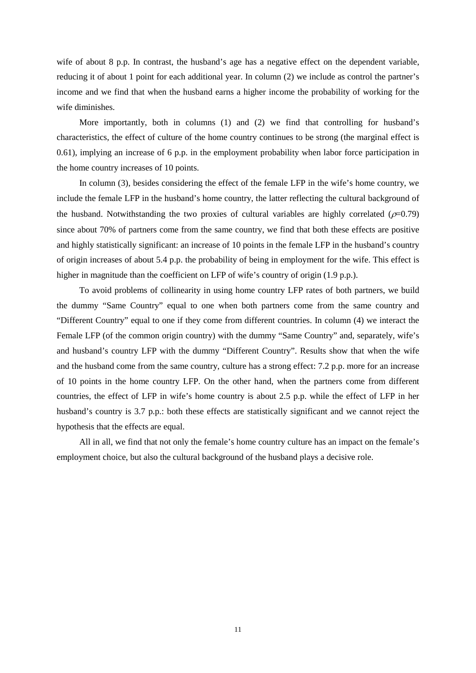wife of about 8 p.p. In contrast, the husband's age has a negative effect on the dependent variable, reducing it of about 1 point for each additional year. In column (2) we include as control the partner's income and we find that when the husband earns a higher income the probability of working for the wife diminishes.

More importantly, both in columns (1) and (2) we find that controlling for husband's characteristics, the effect of culture of the home country continues to be strong (the marginal effect is 0.61), implying an increase of 6 p.p. in the employment probability when labor force participation in the home country increases of 10 points.

In column (3), besides considering the effect of the female LFP in the wife's home country, we include the female LFP in the husband's home country, the latter reflecting the cultural background of the husband. Notwithstanding the two proxies of cultural variables are highly correlated ( $\rho$ =0.79) since about 70% of partners come from the same country, we find that both these effects are positive and highly statistically significant: an increase of 10 points in the female LFP in the husband's country of origin increases of about 5.4 p.p. the probability of being in employment for the wife. This effect is higher in magnitude than the coefficient on LFP of wife's country of origin (1.9 p.p.).

To avoid problems of collinearity in using home country LFP rates of both partners, we build the dummy "Same Country" equal to one when both partners come from the same country and "Different Country" equal to one if they come from different countries. In column (4) we interact the Female LFP (of the common origin country) with the dummy "Same Country" and, separately, wife's and husband's country LFP with the dummy "Different Country". Results show that when the wife and the husband come from the same country, culture has a strong effect: 7.2 p.p. more for an increase of 10 points in the home country LFP. On the other hand, when the partners come from different countries, the effect of LFP in wife's home country is about 2.5 p.p. while the effect of LFP in her husband's country is 3.7 p.p.: both these effects are statistically significant and we cannot reject the hypothesis that the effects are equal.

All in all, we find that not only the female's home country culture has an impact on the female's employment choice, but also the cultural background of the husband plays a decisive role.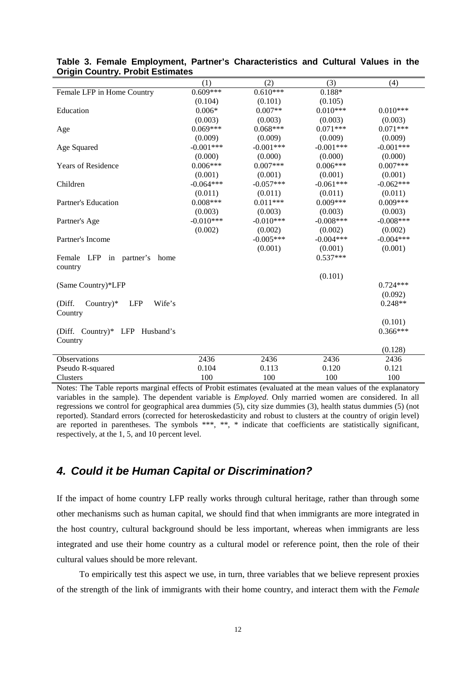|                                                | (1)         | (2)         | (3)         | (4)         |
|------------------------------------------------|-------------|-------------|-------------|-------------|
| Female LFP in Home Country                     | $0.609***$  | $0.610***$  | $0.188*$    |             |
|                                                | (0.104)     | (0.101)     | (0.105)     |             |
| Education                                      | $0.006*$    | $0.007**$   | $0.010***$  | $0.010***$  |
|                                                | (0.003)     | (0.003)     | (0.003)     | (0.003)     |
| Age                                            | $0.069***$  | $0.068***$  | $0.071***$  | $0.071***$  |
|                                                | (0.009)     | (0.009)     | (0.009)     | (0.009)     |
| Age Squared                                    | $-0.001***$ | $-0.001***$ | $-0.001***$ | $-0.001***$ |
|                                                | (0.000)     | (0.000)     | (0.000)     | (0.000)     |
| <b>Years of Residence</b>                      | $0.006***$  | $0.007***$  | $0.006***$  | $0.007***$  |
|                                                | (0.001)     | (0.001)     | (0.001)     | (0.001)     |
| Children                                       | $-0.064***$ | $-0.057***$ | $-0.061***$ | $-0.062***$ |
|                                                | (0.011)     | (0.011)     | (0.011)     | (0.011)     |
| Partner's Education                            | $0.008***$  | $0.011***$  | $0.009***$  | $0.009***$  |
|                                                | (0.003)     | (0.003)     | (0.003)     | (0.003)     |
| Partner's Age                                  | $-0.010***$ | $-0.010***$ | $-0.008***$ | $-0.008***$ |
|                                                | (0.002)     | (0.002)     | (0.002)     | (0.002)     |
| Partner's Income                               |             | $-0.005***$ | $-0.004***$ | $-0.004***$ |
|                                                |             | (0.001)     | (0.001)     | (0.001)     |
| Female LFP in partner's<br>home                |             |             | $0.537***$  |             |
| country                                        |             |             |             |             |
|                                                |             |             | (0.101)     |             |
| (Same Country)*LFP                             |             |             |             | $0.724***$  |
|                                                |             |             |             | (0.092)     |
| (Diff.<br>Country) $*$<br><b>LFP</b><br>Wife's |             |             |             | $0.248**$   |
| Country                                        |             |             |             |             |
|                                                |             |             |             | (0.101)     |
| (Diff. Country)* LFP Husband's                 |             |             |             | $0.366***$  |
| Country                                        |             |             |             |             |
|                                                |             |             |             | (0.128)     |
| Observations                                   | 2436        | 2436        | 2436        | 2436        |
| Pseudo R-squared                               | 0.104       | 0.113       | 0.120       | 0.121       |
| <b>Clusters</b>                                | 100         | 100         | 100         | 100         |

#### **Table 3. Female Employment, Partner's Characteristics and Cultural Values in the Origin Country. Probit Estimates**

Notes: The Table reports marginal effects of Probit estimates (evaluated at the mean values of the explanatory variables in the sample). The dependent variable is *Employed*. Only married women are considered. In all regressions we control for geographical area dummies (5), city size dummies (3), health status dummies (5) (not reported). Standard errors (corrected for heteroskedasticity and robust to clusters at the country of origin level) are reported in parentheses. The symbols \*\*\*, \*\*, \* indicate that coefficients are statistically significant, respectively, at the 1, 5, and 10 percent level.

### *4. Could it be Human Capital or Discrimination?*

If the impact of home country LFP really works through cultural heritage, rather than through some other mechanisms such as human capital, we should find that when immigrants are more integrated in the host country, cultural background should be less important, whereas when immigrants are less integrated and use their home country as a cultural model or reference point, then the role of their cultural values should be more relevant.

To empirically test this aspect we use, in turn, three variables that we believe represent proxies of the strength of the link of immigrants with their home country, and interact them with the *Female*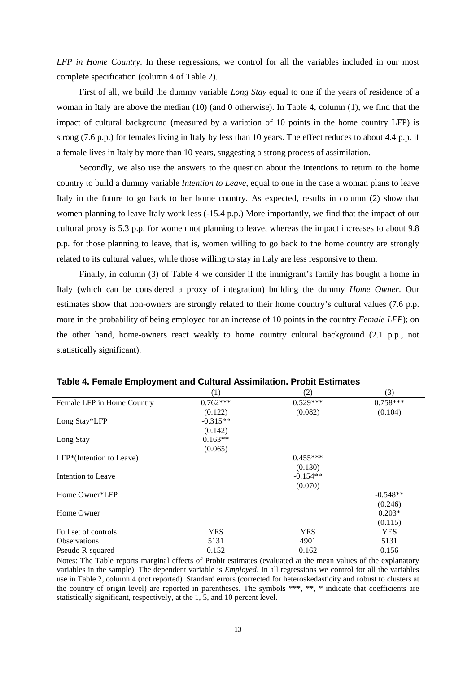*LFP in Home Country*. In these regressions, we control for all the variables included in our most complete specification (column 4 of Table 2).

First of all, we build the dummy variable *Long Stay* equal to one if the years of residence of a woman in Italy are above the median (10) (and 0 otherwise). In Table 4, column (1), we find that the impact of cultural background (measured by a variation of 10 points in the home country LFP) is strong (7.6 p.p.) for females living in Italy by less than 10 years. The effect reduces to about 4.4 p.p. if a female lives in Italy by more than 10 years, suggesting a strong process of assimilation.

Secondly, we also use the answers to the question about the intentions to return to the home country to build a dummy variable *Intention to Leave*, equal to one in the case a woman plans to leave Italy in the future to go back to her home country. As expected, results in column (2) show that women planning to leave Italy work less (-15.4 p.p.) More importantly, we find that the impact of our cultural proxy is 5.3 p.p. for women not planning to leave, whereas the impact increases to about 9.8 p.p. for those planning to leave, that is, women willing to go back to the home country are strongly related to its cultural values, while those willing to stay in Italy are less responsive to them.

Finally, in column (3) of Table 4 we consider if the immigrant's family has bought a home in Italy (which can be considered a proxy of integration) building the dummy *Home Owner*. Our estimates show that non-owners are strongly related to their home country's cultural values (7.6 p.p. more in the probability of being employed for an increase of 10 points in the country *Female LFP*); on the other hand, home-owners react weakly to home country cultural background (2.1 p.p., not statistically significant).

| $1800$ T. Temate Employment and Oditaral Abomination. Thesit Ecumator |            |            |            |
|-----------------------------------------------------------------------|------------|------------|------------|
|                                                                       | (1)        | (2)        | (3)        |
| Female LFP in Home Country                                            | $0.762***$ | $0.529***$ | $0.758***$ |
|                                                                       | (0.122)    | (0.082)    | (0.104)    |
| Long Stay*LFP                                                         | $-0.315**$ |            |            |
|                                                                       | (0.142)    |            |            |
| Long Stay                                                             | $0.163**$  |            |            |
|                                                                       | (0.065)    |            |            |
| $LFP*(I$ ntention to Leave)                                           |            | $0.455***$ |            |
|                                                                       |            | (0.130)    |            |
| Intention to Leave                                                    |            | $-0.154**$ |            |
|                                                                       |            | (0.070)    |            |
| Home Owner*LFP                                                        |            |            | $-0.548**$ |
|                                                                       |            |            | (0.246)    |
| Home Owner                                                            |            |            | $0.203*$   |
|                                                                       |            |            | (0.115)    |
| Full set of controls                                                  | <b>YES</b> | <b>YES</b> | <b>YES</b> |
| <b>Observations</b>                                                   | 5131       | 4901       | 5131       |
| Pseudo R-squared                                                      | 0.152      | 0.162      | 0.156      |

Notes: The Table reports marginal effects of Probit estimates (evaluated at the mean values of the explanatory variables in the sample). The dependent variable is *Employed*. In all regressions we control for all the variables use in Table 2, column 4 (not reported). Standard errors (corrected for heteroskedasticity and robust to clusters at the country of origin level) are reported in parentheses. The symbols \*\*\*, \*\*, \* indicate that coefficients are statistically significant, respectively, at the 1, 5, and 10 percent level.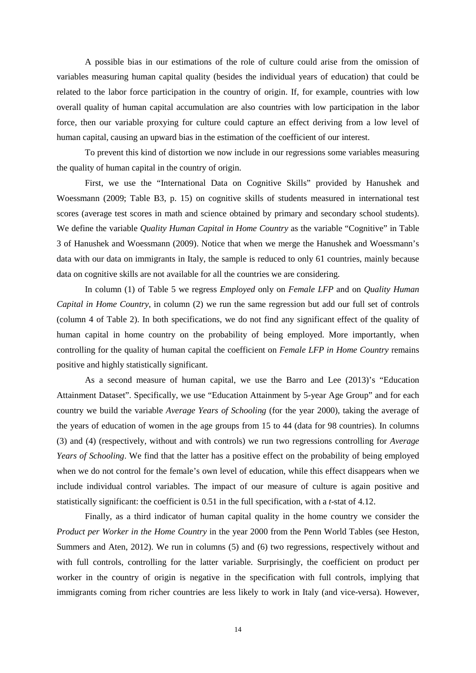A possible bias in our estimations of the role of culture could arise from the omission of variables measuring human capital quality (besides the individual years of education) that could be related to the labor force participation in the country of origin. If, for example, countries with low overall quality of human capital accumulation are also countries with low participation in the labor force, then our variable proxying for culture could capture an effect deriving from a low level of human capital, causing an upward bias in the estimation of the coefficient of our interest.

To prevent this kind of distortion we now include in our regressions some variables measuring the quality of human capital in the country of origin.

First, we use the "International Data on Cognitive Skills" provided by Hanushek and Woessmann (2009; Table B3, p. 15) on cognitive skills of students measured in international test scores (average test scores in math and science obtained by primary and secondary school students). We define the variable *Quality Human Capital in Home Country* as the variable "Cognitive" in Table 3 of Hanushek and Woessmann (2009). Notice that when we merge the Hanushek and Woessmann's data with our data on immigrants in Italy, the sample is reduced to only 61 countries, mainly because data on cognitive skills are not available for all the countries we are considering.

In column (1) of Table 5 we regress *Employed* only on *Female LFP* and on *Quality Human Capital in Home Country*, in column (2) we run the same regression but add our full set of controls (column 4 of Table 2). In both specifications, we do not find any significant effect of the quality of human capital in home country on the probability of being employed. More importantly, when controlling for the quality of human capital the coefficient on *Female LFP in Home Country* remains positive and highly statistically significant.

As a second measure of human capital, we use the Barro and Lee (2013)'s "Education Attainment Dataset". Specifically, we use "Education Attainment by 5-year Age Group" and for each country we build the variable *Average Years of Schooling* (for the year 2000), taking the average of the years of education of women in the age groups from 15 to 44 (data for 98 countries). In columns (3) and (4) (respectively, without and with controls) we run two regressions controlling for *Average Years of Schooling*. We find that the latter has a positive effect on the probability of being employed when we do not control for the female's own level of education, while this effect disappears when we include individual control variables. The impact of our measure of culture is again positive and statistically significant: the coefficient is 0.51 in the full specification, with a *t*-stat of 4.12.

Finally, as a third indicator of human capital quality in the home country we consider the *Product per Worker in the Home Country* in the year 2000 from the Penn World Tables (see Heston, Summers and Aten, 2012). We run in columns (5) and (6) two regressions, respectively without and with full controls, controlling for the latter variable. Surprisingly, the coefficient on product per worker in the country of origin is negative in the specification with full controls, implying that immigrants coming from richer countries are less likely to work in Italy (and vice-versa). However,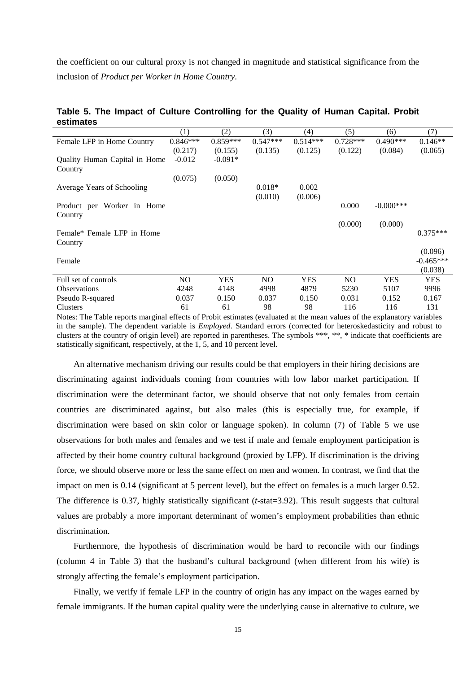the coefficient on our cultural proxy is not changed in magnitude and statistical significance from the inclusion of *Product per Worker in Home Country*.

|                               | (1)        | (2)        | (3)            | (4)        | (5)        | (6)          | (7)         |
|-------------------------------|------------|------------|----------------|------------|------------|--------------|-------------|
| Female LFP in Home Country    | $0.846***$ | $0.859***$ | $0.547***$     | $0.514***$ | $0.728***$ | $0.490***$   | $0.146**$   |
|                               | (0.217)    | (0.155)    | (0.135)        | (0.125)    | (0.122)    | (0.084)      | (0.065)     |
| Quality Human Capital in Home | $-0.012$   | $-0.091*$  |                |            |            |              |             |
| Country                       |            |            |                |            |            |              |             |
|                               | (0.075)    | (0.050)    |                |            |            |              |             |
| Average Years of Schooling    |            |            | $0.018*$       | 0.002      |            |              |             |
|                               |            |            | (0.010)        | (0.006)    |            |              |             |
| Product per Worker in Home    |            |            |                |            | 0.000      | $-0.000$ *** |             |
| Country                       |            |            |                |            |            |              |             |
|                               |            |            |                |            | (0.000)    | (0.000)      |             |
| Female* Female LFP in Home    |            |            |                |            |            |              | $0.375***$  |
| Country                       |            |            |                |            |            |              | (0.096)     |
| Female                        |            |            |                |            |            |              | $-0.465***$ |
|                               |            |            |                |            |            |              |             |
|                               |            |            |                |            |            |              | (0.038)     |
| Full set of controls          | NO.        | <b>YES</b> | N <sub>O</sub> | <b>YES</b> | NO.        | <b>YES</b>   | <b>YES</b>  |
| <b>Observations</b>           | 4248       | 4148       | 4998           | 4879       | 5230       | 5107         | 9996        |
| Pseudo R-squared              | 0.037      | 0.150      | 0.037          | 0.150      | 0.031      | 0.152        | 0.167       |
| Clusters                      | 61         | 61         | 98             | 98         | 116        | 116          | 131         |

**Table 5. The Impact of Culture Controlling for the Quality of Human Capital. Probit estimates**

Notes: The Table reports marginal effects of Probit estimates (evaluated at the mean values of the explanatory variables in the sample). The dependent variable is *Employed*. Standard errors (corrected for heteroskedasticity and robust to clusters at the country of origin level) are reported in parentheses. The symbols \*\*\*, \*\*, \* indicate that coefficients are statistically significant, respectively, at the 1, 5, and 10 percent level.

An alternative mechanism driving our results could be that employers in their hiring decisions are discriminating against individuals coming from countries with low labor market participation. If discrimination were the determinant factor, we should observe that not only females from certain countries are discriminated against, but also males (this is especially true, for example, if discrimination were based on skin color or language spoken). In column (7) of Table 5 we use observations for both males and females and we test if male and female employment participation is affected by their home country cultural background (proxied by LFP). If discrimination is the driving force, we should observe more or less the same effect on men and women. In contrast, we find that the impact on men is 0.14 (significant at 5 percent level), but the effect on females is a much larger 0.52. The difference is 0.37, highly statistically significant (*t*-stat=3.92). This result suggests that cultural values are probably a more important determinant of women's employment probabilities than ethnic discrimination.

Furthermore, the hypothesis of discrimination would be hard to reconcile with our findings (column 4 in Table 3) that the husband's cultural background (when different from his wife) is strongly affecting the female's employment participation.

Finally, we verify if female LFP in the country of origin has any impact on the wages earned by female immigrants. If the human capital quality were the underlying cause in alternative to culture, we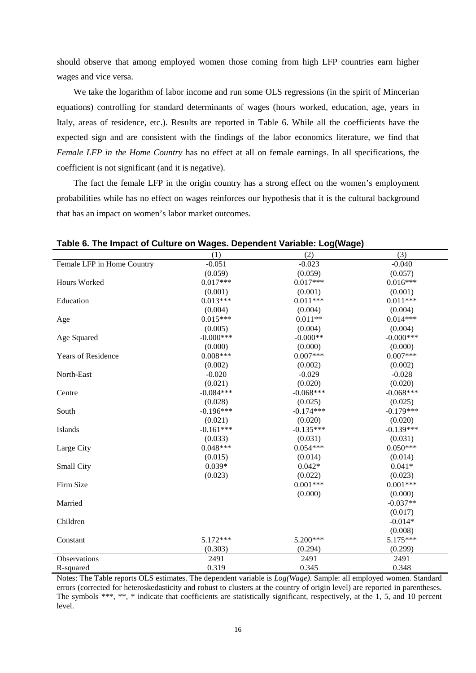should observe that among employed women those coming from high LFP countries earn higher wages and vice versa.

We take the logarithm of labor income and run some OLS regressions (in the spirit of Mincerian equations) controlling for standard determinants of wages (hours worked, education, age, years in Italy, areas of residence, etc.). Results are reported in Table 6. While all the coefficients have the expected sign and are consistent with the findings of the labor economics literature, we find that *Female LFP in the Home Country* has no effect at all on female earnings. In all specifications, the coefficient is not significant (and it is negative).

The fact the female LFP in the origin country has a strong effect on the women's employment probabilities while has no effect on wages reinforces our hypothesis that it is the cultural background that has an impact on women's labor market outcomes.

|                            | (1)         | (2)         | (3)         |
|----------------------------|-------------|-------------|-------------|
| Female LFP in Home Country | $-0.051$    | $-0.023$    | $-0.040$    |
|                            | (0.059)     | (0.059)     | (0.057)     |
| Hours Worked               | $0.017***$  | $0.017***$  | $0.016***$  |
|                            | (0.001)     | (0.001)     | (0.001)     |
| Education                  | $0.013***$  | $0.011***$  | $0.011***$  |
|                            | (0.004)     | (0.004)     | (0.004)     |
| Age                        | $0.015***$  | $0.011**$   | $0.014***$  |
|                            | (0.005)     | (0.004)     | (0.004)     |
| Age Squared                | $-0.000***$ | $-0.000**$  | $-0.000***$ |
|                            | (0.000)     | (0.000)     | (0.000)     |
| <b>Years of Residence</b>  | $0.008***$  | $0.007***$  | $0.007***$  |
|                            | (0.002)     | (0.002)     | (0.002)     |
| North-East                 | $-0.020$    | $-0.029$    | $-0.028$    |
|                            | (0.021)     | (0.020)     | (0.020)     |
| Centre                     | $-0.084***$ | $-0.068***$ | $-0.068***$ |
|                            | (0.028)     | (0.025)     | (0.025)     |
| South                      | $-0.196***$ | $-0.174***$ | $-0.179***$ |
|                            | (0.021)     | (0.020)     | (0.020)     |
| Islands                    | $-0.161***$ | $-0.135***$ | $-0.139***$ |
|                            | (0.033)     | (0.031)     | (0.031)     |
| Large City                 | $0.048***$  | $0.054***$  | $0.050***$  |
|                            | (0.015)     | (0.014)     | (0.014)     |
| Small City                 | $0.039*$    | $0.042*$    | $0.041*$    |
|                            | (0.023)     | (0.022)     | (0.023)     |
| Firm Size                  |             | $0.001***$  | $0.001***$  |
|                            |             | (0.000)     | (0.000)     |
| Married                    |             |             | $-0.037**$  |
|                            |             |             | (0.017)     |
| Children                   |             |             | $-0.014*$   |
|                            |             |             | (0.008)     |
| Constant                   | 5.172***    | 5.200***    | 5.175***    |
|                            | (0.303)     | (0.294)     | (0.299)     |
| Observations               | 2491        | 2491        | 2491        |
| R-squared                  | 0.319       | 0.345       | 0.348       |

**Table 6. The Impact of Culture on Wages. Dependent Variable: Log(Wage)**

Notes: The Table reports OLS estimates. The dependent variable is *Log(Wage)*. Sample: all employed women. Standard errors (corrected for heteroskedasticity and robust to clusters at the country of origin level) are reported in parentheses. The symbols \*\*\*, \*\*, \* indicate that coefficients are statistically significant, respectively, at the 1, 5, and 10 percent level.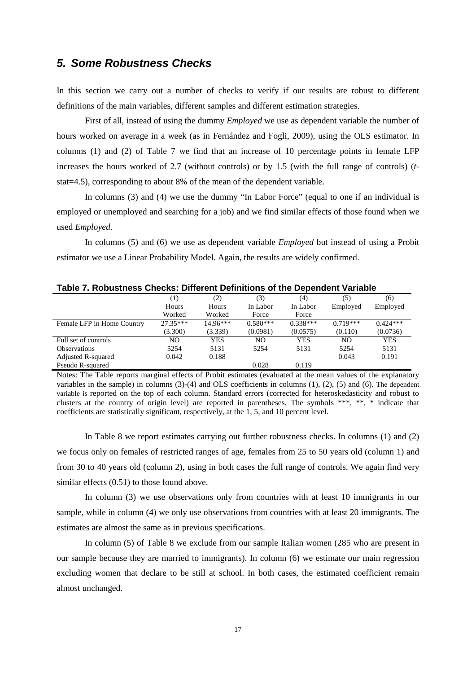### *5. Some Robustness Checks*

In this section we carry out a number of checks to verify if our results are robust to different definitions of the main variables, different samples and different estimation strategies.

First of all, instead of using the dummy *Employed* we use as dependent variable the number of hours worked on average in a week (as in Fernández and Fogli, 2009), using the OLS estimator. In columns (1) and (2) of Table 7 we find that an increase of 10 percentage points in female LFP increases the hours worked of 2.7 (without controls) or by 1.5 (with the full range of controls) (*t*stat=4.5), corresponding to about 8% of the mean of the dependent variable.

In columns (3) and (4) we use the dummy "In Labor Force" (equal to one if an individual is employed or unemployed and searching for a job) and we find similar effects of those found when we used *Employed*.

In columns (5) and (6) we use as dependent variable *Employed* but instead of using a Probit estimator we use a Linear Probability Model. Again, the results are widely confirmed.

|                            | (1)        | (2)        | (3)        | (4)        | (5)        | (6)        |  |  |
|----------------------------|------------|------------|------------|------------|------------|------------|--|--|
|                            | Hours      | Hours      | In Labor   | In Labor   | Employed   | Employed   |  |  |
|                            | Worked     | Worked     | Force      | Force      |            |            |  |  |
| Female LFP in Home Country | $27.35***$ | $14.96***$ | $0.580***$ | $0.338***$ | $0.719***$ | $0.424***$ |  |  |
|                            | (3.300)    | (3.339)    | (0.0981)   | (0.0575)   | (0.110)    | (0.0736)   |  |  |
| Full set of controls       | NO.        | <b>YES</b> | NO.        | <b>YES</b> | NO.        | <b>YES</b> |  |  |
| <b>Observations</b>        | 5254       | 5131       | 5254       | 5131       | 5254       | 5131       |  |  |
| <b>Adjusted R-squared</b>  | 0.042      | 0.188      |            |            | 0.043      | 0.191      |  |  |
| Pseudo R-squared           |            |            | 0.028      | 0.119      |            |            |  |  |

Notes: The Table reports marginal effects of Probit estimates (evaluated at the mean values of the explanatory variables in the sample) in columns (3)-(4) and OLS coefficients in columns (1), (2), (5) and (6). The dependent variable is reported on the top of each column. Standard errors (corrected for heteroskedasticity and robust to clusters at the country of origin level) are reported in parentheses. The symbols \*\*\*, \*\*, \* indicate that coefficients are statistically significant, respectively, at the 1, 5, and 10 percent level.

In Table 8 we report estimates carrying out further robustness checks. In columns (1) and (2) we focus only on females of restricted ranges of age, females from 25 to 50 years old (column 1) and from 30 to 40 years old (column 2), using in both cases the full range of controls. We again find very similar effects  $(0.51)$  to those found above.

In column (3) we use observations only from countries with at least 10 immigrants in our sample, while in column (4) we only use observations from countries with at least 20 immigrants. The estimates are almost the same as in previous specifications.

In column (5) of Table 8 we exclude from our sample Italian women (285 who are present in our sample because they are married to immigrants). In column (6) we estimate our main regression excluding women that declare to be still at school. In both cases, the estimated coefficient remain almost unchanged.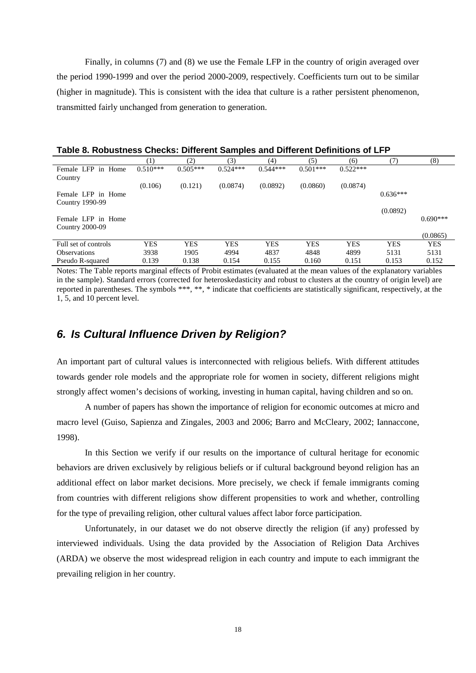Finally, in columns (7) and (8) we use the Female LFP in the country of origin averaged over the period 1990-1999 and over the period 2000-2009, respectively. Coefficients turn out to be similar (higher in magnitude). This is consistent with the idea that culture is a rather persistent phenomenon, transmitted fairly unchanged from generation to generation.

|                                              | $\left(1\right)$ | (2)        | (3)        | (4)        | (5)        | (6)        | (7)        | (8)        |
|----------------------------------------------|------------------|------------|------------|------------|------------|------------|------------|------------|
| Female LFP<br>in Home                        | $0.510***$       | $0.505***$ | $0.524***$ | $0.544***$ | $0.501***$ | $0.522***$ |            |            |
| Country                                      |                  |            |            |            |            |            |            |            |
|                                              | (0.106)          | (0.121)    | (0.0874)   | (0.0892)   | (0.0860)   | (0.0874)   |            |            |
| Female LFP in Home<br>Country 1990-99        |                  |            |            |            |            |            | $0.636***$ |            |
|                                              |                  |            |            |            |            |            | (0.0892)   |            |
| Female LFP in Home<br><b>Country 2000-09</b> |                  |            |            |            |            |            |            | $0.690***$ |
|                                              |                  |            |            |            |            |            |            | (0.0865)   |
| Full set of controls                         | <b>YES</b>       | <b>YES</b> | <b>YES</b> | <b>YES</b> | <b>YES</b> | <b>YES</b> | <b>YES</b> | <b>YES</b> |
| <b>Observations</b>                          | 3938             | 1905       | 4994       | 4837       | 4848       | 4899       | 5131       | 5131       |
| Pseudo R-squared                             | 0.139            | 0.138      | 0.154      | 0.155      | 0.160      | 0.151      | 0.153      | 0.152      |

Notes: The Table reports marginal effects of Probit estimates (evaluated at the mean values of the explanatory variables in the sample). Standard errors (corrected for heteroskedasticity and robust to clusters at the country of origin level) are reported in parentheses. The symbols \*\*\*, \*\*, \* indicate that coefficients are statistically significant, respectively, at the 1, 5, and 10 percent level.

#### *6. Is Cultural Influence Driven by Religion?*

An important part of cultural values is interconnected with religious beliefs. With different attitudes towards gender role models and the appropriate role for women in society, different religions might strongly affect women's decisions of working, investing in human capital, having children and so on.

A number of papers has shown the importance of religion for economic outcomes at micro and macro level (Guiso, Sapienza and Zingales, 2003 and 2006; Barro and McCleary, 2002; Iannaccone, 1998).

In this Section we verify if our results on the importance of cultural heritage for economic behaviors are driven exclusively by religious beliefs or if cultural background beyond religion has an additional effect on labor market decisions. More precisely, we check if female immigrants coming from countries with different religions show different propensities to work and whether, controlling for the type of prevailing religion, other cultural values affect labor force participation.

Unfortunately, in our dataset we do not observe directly the religion (if any) professed by interviewed individuals. Using the data provided by the Association of Religion Data Archives (ARDA) we observe the most widespread religion in each country and impute to each immigrant the prevailing religion in her country.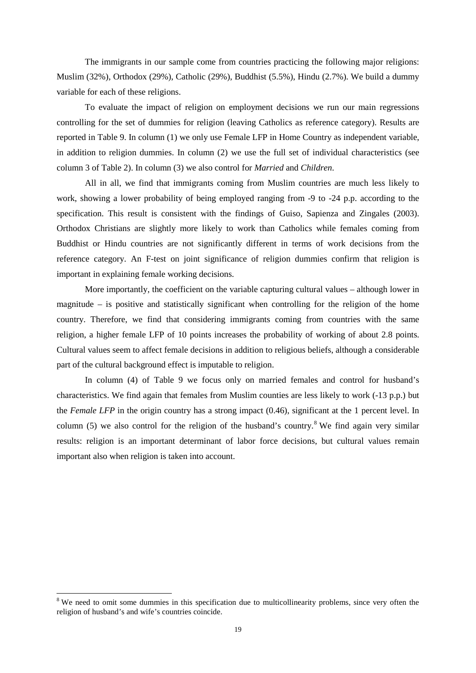The immigrants in our sample come from countries practicing the following major religions: Muslim (32%), Orthodox (29%), Catholic (29%), Buddhist (5.5%), Hindu (2.7%). We build a dummy variable for each of these religions.

To evaluate the impact of religion on employment decisions we run our main regressions controlling for the set of dummies for religion (leaving Catholics as reference category). Results are reported in Table 9. In column (1) we only use Female LFP in Home Country as independent variable, in addition to religion dummies. In column (2) we use the full set of individual characteristics (see column 3 of Table 2). In column (3) we also control for *Married* and *Children*.

All in all, we find that immigrants coming from Muslim countries are much less likely to work, showing a lower probability of being employed ranging from -9 to -24 p.p. according to the specification. This result is consistent with the findings of Guiso, Sapienza and Zingales (2003). Orthodox Christians are slightly more likely to work than Catholics while females coming from Buddhist or Hindu countries are not significantly different in terms of work decisions from the reference category. An F-test on joint significance of religion dummies confirm that religion is important in explaining female working decisions.

More importantly, the coefficient on the variable capturing cultural values – although lower in magnitude – is positive and statistically significant when controlling for the religion of the home country. Therefore, we find that considering immigrants coming from countries with the same religion, a higher female LFP of 10 points increases the probability of working of about 2.8 points. Cultural values seem to affect female decisions in addition to religious beliefs, although a considerable part of the cultural background effect is imputable to religion.

In column (4) of Table 9 we focus only on married females and control for husband's characteristics. We find again that females from Muslim counties are less likely to work (-13 p.p.) but the *Female LFP* in the origin country has a strong impact (0.46), significant at the 1 percent level. In column (5) we also control for the religion of the husband's country.<sup>[8](#page-6-6)</sup> We find again very similar results: religion is an important determinant of labor force decisions, but cultural values remain important also when religion is taken into account.

<sup>&</sup>lt;sup>8</sup> We need to omit some dummies in this specification due to multicollinearity problems, since very often the religion of husband's and wife's countries coincide.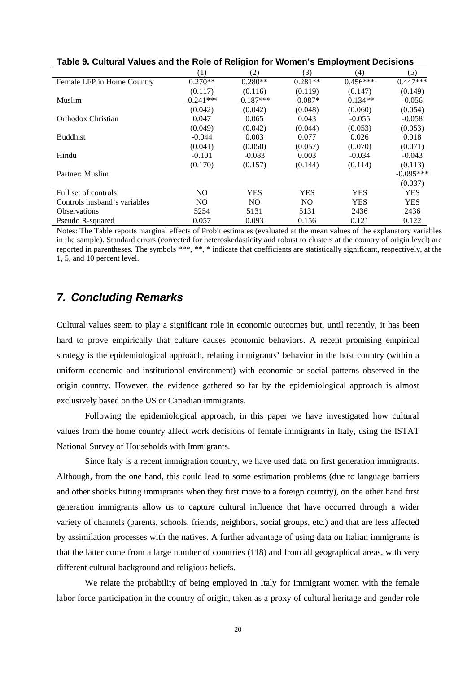|                              | (1)            | (2)            | (3)            | (4)        | (5)         |
|------------------------------|----------------|----------------|----------------|------------|-------------|
| Female LFP in Home Country   | $0.270**$      | $0.280**$      | $0.281**$      | $0.456***$ | $0.447***$  |
|                              | (0.117)        | (0.116)        | (0.119)        | (0.147)    | (0.149)     |
| Muslim                       | $-0.241***$    | $-0.187***$    | $-0.087*$      | $-0.134**$ | $-0.056$    |
|                              | (0.042)        | (0.042)        | (0.048)        | (0.060)    | (0.054)     |
| Orthodox Christian           | 0.047          | 0.065          | 0.043          | $-0.055$   | $-0.058$    |
|                              | (0.049)        | (0.042)        | (0.044)        | (0.053)    | (0.053)     |
| <b>Buddhist</b>              | $-0.044$       | 0.003          | 0.077          | 0.026      | 0.018       |
|                              | (0.041)        | (0.050)        | (0.057)        | (0.070)    | (0.071)     |
| Hindu                        | $-0.101$       | $-0.083$       | 0.003          | $-0.034$   | $-0.043$    |
|                              | (0.170)        | (0.157)        | (0.144)        | (0.114)    | (0.113)     |
| Partner: Muslim              |                |                |                |            | $-0.095***$ |
|                              |                |                |                |            | (0.037)     |
| Full set of controls         | N <sub>O</sub> | <b>YES</b>     | <b>YES</b>     | <b>YES</b> | <b>YES</b>  |
| Controls husband's variables | N <sub>O</sub> | N <sub>O</sub> | N <sub>O</sub> | <b>YES</b> | <b>YES</b>  |
| <b>Observations</b>          | 5254           | 5131           | 5131           | 2436       | 2436        |
| Pseudo R-squared             | 0.057          | 0.093          | 0.156          | 0.121      | 0.122       |

**Table 9. Cultural Values and the Role of Religion for Women's Employment Decisions**

Notes: The Table reports marginal effects of Probit estimates (evaluated at the mean values of the explanatory variables in the sample). Standard errors (corrected for heteroskedasticity and robust to clusters at the country of origin level) are reported in parentheses. The symbols \*\*\*, \*\*, \* indicate that coefficients are statistically significant, respectively, at the 1, 5, and 10 percent level.

### *7. Concluding Remarks*

Cultural values seem to play a significant role in economic outcomes but, until recently, it has been hard to prove empirically that culture causes economic behaviors. A recent promising empirical strategy is the epidemiological approach, relating immigrants' behavior in the host country (within a uniform economic and institutional environment) with economic or social patterns observed in the origin country. However, the evidence gathered so far by the epidemiological approach is almost exclusively based on the US or Canadian immigrants.

Following the epidemiological approach, in this paper we have investigated how cultural values from the home country affect work decisions of female immigrants in Italy, using the ISTAT National Survey of Households with Immigrants.

Since Italy is a recent immigration country, we have used data on first generation immigrants. Although, from the one hand, this could lead to some estimation problems (due to language barriers and other shocks hitting immigrants when they first move to a foreign country), on the other hand first generation immigrants allow us to capture cultural influence that have occurred through a wider variety of channels (parents, schools, friends, neighbors, social groups, etc.) and that are less affected by assimilation processes with the natives. A further advantage of using data on Italian immigrants is that the latter come from a large number of countries (118) and from all geographical areas, with very different cultural background and religious beliefs.

We relate the probability of being employed in Italy for immigrant women with the female labor force participation in the country of origin, taken as a proxy of cultural heritage and gender role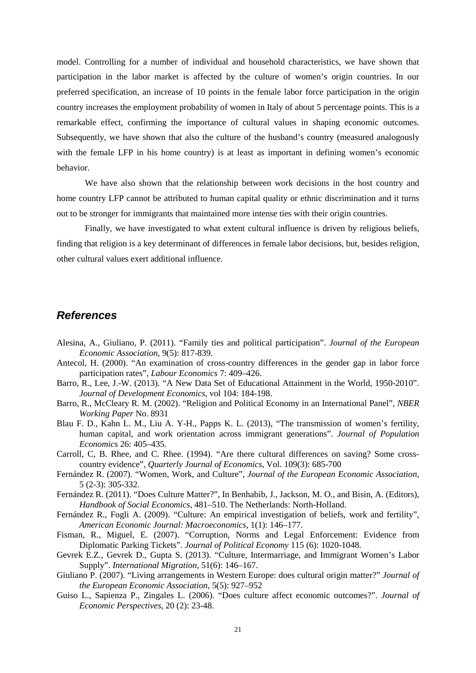model. Controlling for a number of individual and household characteristics, we have shown that participation in the labor market is affected by the culture of women's origin countries. In our preferred specification, an increase of 10 points in the female labor force participation in the origin country increases the employment probability of women in Italy of about 5 percentage points. This is a remarkable effect, confirming the importance of cultural values in shaping economic outcomes. Subsequently, we have shown that also the culture of the husband's country (measured analogously with the female LFP in his home country) is at least as important in defining women's economic behavior.

We have also shown that the relationship between work decisions in the host country and home country LFP cannot be attributed to human capital quality or ethnic discrimination and it turns out to be stronger for immigrants that maintained more intense ties with their origin countries.

Finally, we have investigated to what extent cultural influence is driven by religious beliefs, finding that religion is a key determinant of differences in female labor decisions, but, besides religion, other cultural values exert additional influence.

### *References*

- Alesina, A., Giuliano, P. (2011). "Family ties and political participation". *Journal of the European Economic Association*, 9(5): 817-839.
- Antecol, H. (2000). "An examination of cross-country differences in the gender gap in labor force participation rates", *Labour Economics* 7: 409–426.
- Barro, R., Lee, J.-W. (2013). "A New Data Set of Educational Attainment in the World, 1950-2010". *Journal of Development Economics*, vol 104: 184-198.
- Barro, R., McCleary R. M. (2002). "Religion and Political Economy in an International Panel", *NBER Working Paper* No. 8931
- Blau F. D., Kahn L. M., Liu A. Y-H., Papps K. L. (2013), "The transmission of women's fertility, human capital, and work orientation across immigrant generations". *Journal of Population Economics* 26: 405–435.
- Carroll, C, B. Rhee, and C. Rhee. (1994). "Are there cultural differences on saving? Some crosscountry evidence", *Quarterly Journal of Economics*, Vol. 109(3): 685-700
- Fernández R. (2007). "Women, Work, and Culture", *Journal of the European Economic Association*, 5 (2-3): 305-332.
- Fernández R. (2011). "Does Culture Matter?", In Benhabib, J., Jackson, M. O., and Bisin, A. (Editors), *Handbook of Social Economics*, 481–510. The Netherlands: North-Holland.
- Fernández R., Fogli A. (2009). "Culture: An empirical investigation of beliefs, work and fertility", *American Economic Journal: Macroeconomics*, 1(1): 146–177.
- Fisman, R., Miguel, E. (2007). "Corruption, Norms and Legal Enforcement: Evidence from Diplomatic Parking Tickets". *Journal of Political Economy* 115 (6): 1020-1048.
- Gevrek E.Z., Gevrek D., Gupta S. (2013). "Culture, Intermarriage, and Immigrant Women's Labor Supply". *International Migration*, 51(6): 146–167.
- Giuliano P. (2007). "Living arrangements in Western Europe: does cultural origin matter?" *Journal of the European Economic Association*, 5(5): 927–952
- Guiso L., Sapienza P., Zingales L. (2006). ["Does culture affect economic outcomes?"](http://scholar.google.com/citations?view_op=view_citation&hl=it&user=sP8pxEMAAAAJ&citation_for_view=sP8pxEMAAAAJ:9yKSN-GCB0IC). *Journal of Economic Perspectives*, 20 (2): 23-48.